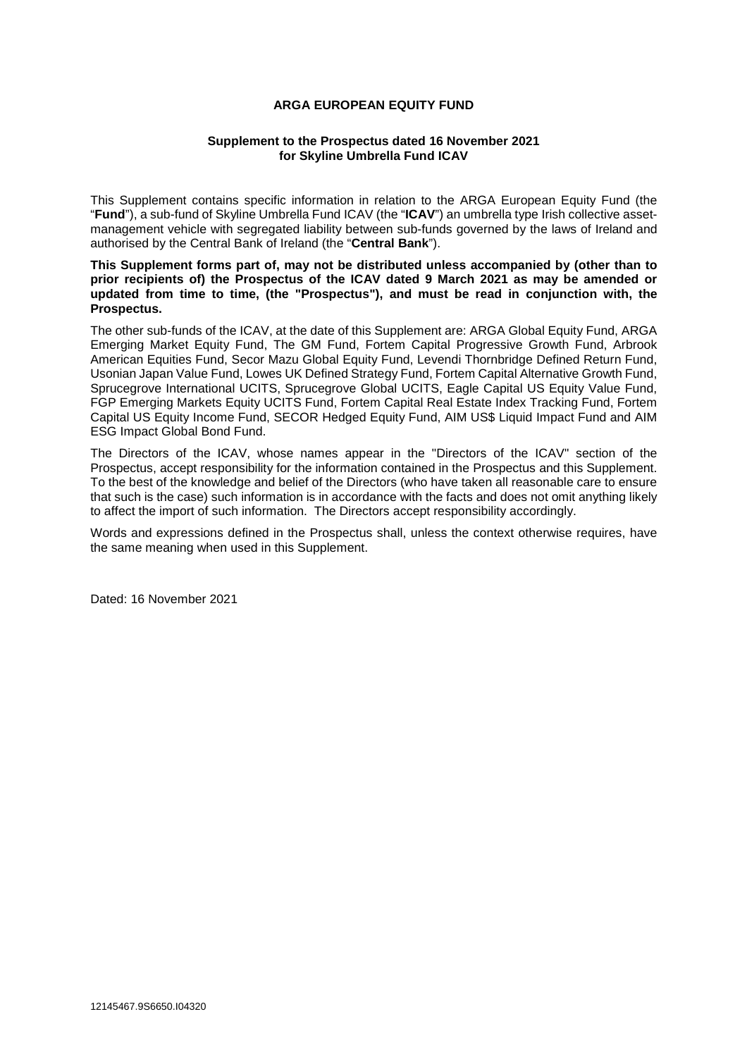## **ARGA EUROPEAN EQUITY FUND**

#### **Supplement to the Prospectus dated 16 November 2021 for Skyline Umbrella Fund ICAV**

This Supplement contains specific information in relation to the ARGA European Equity Fund (the "**Fund**"), a sub-fund of Skyline Umbrella Fund ICAV (the "**ICAV**") an umbrella type Irish collective assetmanagement vehicle with segregated liability between sub-funds governed by the laws of Ireland and authorised by the Central Bank of Ireland (the "**Central Bank**").

**This Supplement forms part of, may not be distributed unless accompanied by (other than to prior recipients of) the Prospectus of the ICAV dated 9 March 2021 as may be amended or updated from time to time, (the "Prospectus"), and must be read in conjunction with, the Prospectus.** 

The other sub-funds of the ICAV, at the date of this Supplement are: ARGA Global Equity Fund, ARGA Emerging Market Equity Fund, The GM Fund, Fortem Capital Progressive Growth Fund, Arbrook American Equities Fund, Secor Mazu Global Equity Fund, Levendi Thornbridge Defined Return Fund, Usonian Japan Value Fund, Lowes UK Defined Strategy Fund, Fortem Capital Alternative Growth Fund, Sprucegrove International UCITS, Sprucegrove Global UCITS, Eagle Capital US Equity Value Fund, FGP Emerging Markets Equity UCITS Fund, Fortem Capital Real Estate Index Tracking Fund, Fortem Capital US Equity Income Fund, SECOR Hedged Equity Fund, AIM US\$ Liquid Impact Fund and AIM ESG Impact Global Bond Fund.

The Directors of the ICAV, whose names appear in the "Directors of the ICAV" section of the Prospectus, accept responsibility for the information contained in the Prospectus and this Supplement. To the best of the knowledge and belief of the Directors (who have taken all reasonable care to ensure that such is the case) such information is in accordance with the facts and does not omit anything likely to affect the import of such information. The Directors accept responsibility accordingly.

Words and expressions defined in the Prospectus shall, unless the context otherwise requires, have the same meaning when used in this Supplement.

Dated: 16 November 2021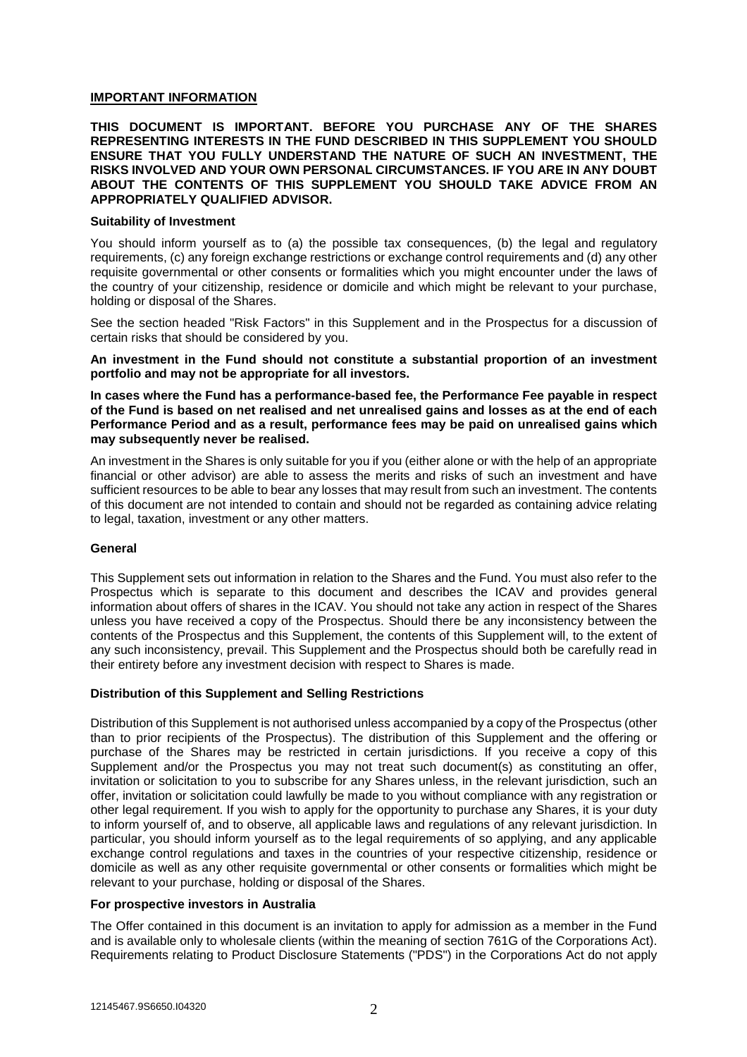## **IMPORTANT INFORMATION**

**THIS DOCUMENT IS IMPORTANT. BEFORE YOU PURCHASE ANY OF THE SHARES REPRESENTING INTERESTS IN THE FUND DESCRIBED IN THIS SUPPLEMENT YOU SHOULD ENSURE THAT YOU FULLY UNDERSTAND THE NATURE OF SUCH AN INVESTMENT, THE RISKS INVOLVED AND YOUR OWN PERSONAL CIRCUMSTANCES. IF YOU ARE IN ANY DOUBT ABOUT THE CONTENTS OF THIS SUPPLEMENT YOU SHOULD TAKE ADVICE FROM AN APPROPRIATELY QUALIFIED ADVISOR.** 

#### **Suitability of Investment**

You should inform yourself as to (a) the possible tax consequences, (b) the legal and regulatory requirements, (c) any foreign exchange restrictions or exchange control requirements and (d) any other requisite governmental or other consents or formalities which you might encounter under the laws of the country of your citizenship, residence or domicile and which might be relevant to your purchase, holding or disposal of the Shares.

See the section headed "Risk Factors" in this Supplement and in the Prospectus for a discussion of certain risks that should be considered by you.

**An investment in the Fund should not constitute a substantial proportion of an investment portfolio and may not be appropriate for all investors.** 

**In cases where the Fund has a performance-based fee, the Performance Fee payable in respect of the Fund is based on net realised and net unrealised gains and losses as at the end of each Performance Period and as a result, performance fees may be paid on unrealised gains which may subsequently never be realised.** 

An investment in the Shares is only suitable for you if you (either alone or with the help of an appropriate financial or other advisor) are able to assess the merits and risks of such an investment and have sufficient resources to be able to bear any losses that may result from such an investment. The contents of this document are not intended to contain and should not be regarded as containing advice relating to legal, taxation, investment or any other matters.

## **General**

This Supplement sets out information in relation to the Shares and the Fund. You must also refer to the Prospectus which is separate to this document and describes the ICAV and provides general information about offers of shares in the ICAV. You should not take any action in respect of the Shares unless you have received a copy of the Prospectus. Should there be any inconsistency between the contents of the Prospectus and this Supplement, the contents of this Supplement will, to the extent of any such inconsistency, prevail. This Supplement and the Prospectus should both be carefully read in their entirety before any investment decision with respect to Shares is made.

## **Distribution of this Supplement and Selling Restrictions**

Distribution of this Supplement is not authorised unless accompanied by a copy of the Prospectus (other than to prior recipients of the Prospectus). The distribution of this Supplement and the offering or purchase of the Shares may be restricted in certain jurisdictions. If you receive a copy of this Supplement and/or the Prospectus you may not treat such document(s) as constituting an offer, invitation or solicitation to you to subscribe for any Shares unless, in the relevant jurisdiction, such an offer, invitation or solicitation could lawfully be made to you without compliance with any registration or other legal requirement. If you wish to apply for the opportunity to purchase any Shares, it is your duty to inform yourself of, and to observe, all applicable laws and regulations of any relevant jurisdiction. In particular, you should inform yourself as to the legal requirements of so applying, and any applicable exchange control regulations and taxes in the countries of your respective citizenship, residence or domicile as well as any other requisite governmental or other consents or formalities which might be relevant to your purchase, holding or disposal of the Shares.

## **For prospective investors in Australia**

The Offer contained in this document is an invitation to apply for admission as a member in the Fund and is available only to wholesale clients (within the meaning of section 761G of the Corporations Act). Requirements relating to Product Disclosure Statements ("PDS") in the Corporations Act do not apply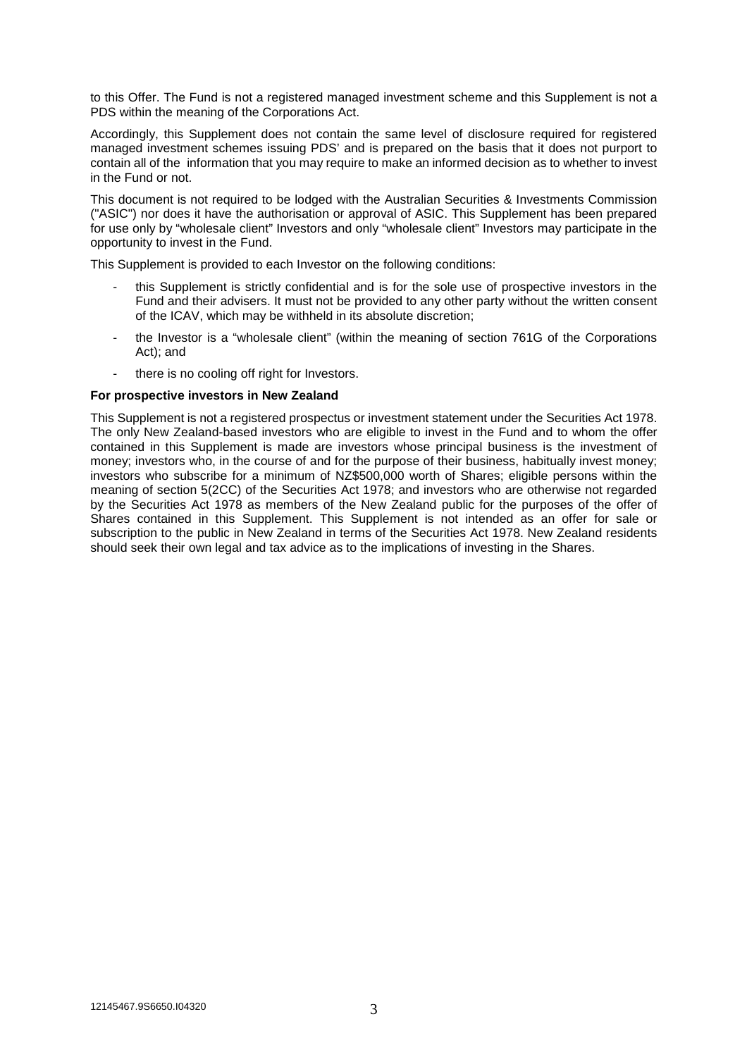to this Offer. The Fund is not a registered managed investment scheme and this Supplement is not a PDS within the meaning of the Corporations Act.

Accordingly, this Supplement does not contain the same level of disclosure required for registered managed investment schemes issuing PDS' and is prepared on the basis that it does not purport to contain all of the information that you may require to make an informed decision as to whether to invest in the Fund or not.

This document is not required to be lodged with the Australian Securities & Investments Commission ("ASIC") nor does it have the authorisation or approval of ASIC. This Supplement has been prepared for use only by "wholesale client" Investors and only "wholesale client" Investors may participate in the opportunity to invest in the Fund.

This Supplement is provided to each Investor on the following conditions:

- this Supplement is strictly confidential and is for the sole use of prospective investors in the Fund and their advisers. It must not be provided to any other party without the written consent of the ICAV, which may be withheld in its absolute discretion;
- the Investor is a "wholesale client" (within the meaning of section 761G of the Corporations Act); and
- there is no cooling off right for Investors.

#### **For prospective investors in New Zealand**

This Supplement is not a registered prospectus or investment statement under the Securities Act 1978. The only New Zealand-based investors who are eligible to invest in the Fund and to whom the offer contained in this Supplement is made are investors whose principal business is the investment of money; investors who, in the course of and for the purpose of their business, habitually invest money; investors who subscribe for a minimum of NZ\$500,000 worth of Shares; eligible persons within the meaning of section 5(2CC) of the Securities Act 1978; and investors who are otherwise not regarded by the Securities Act 1978 as members of the New Zealand public for the purposes of the offer of Shares contained in this Supplement. This Supplement is not intended as an offer for sale or subscription to the public in New Zealand in terms of the Securities Act 1978. New Zealand residents should seek their own legal and tax advice as to the implications of investing in the Shares.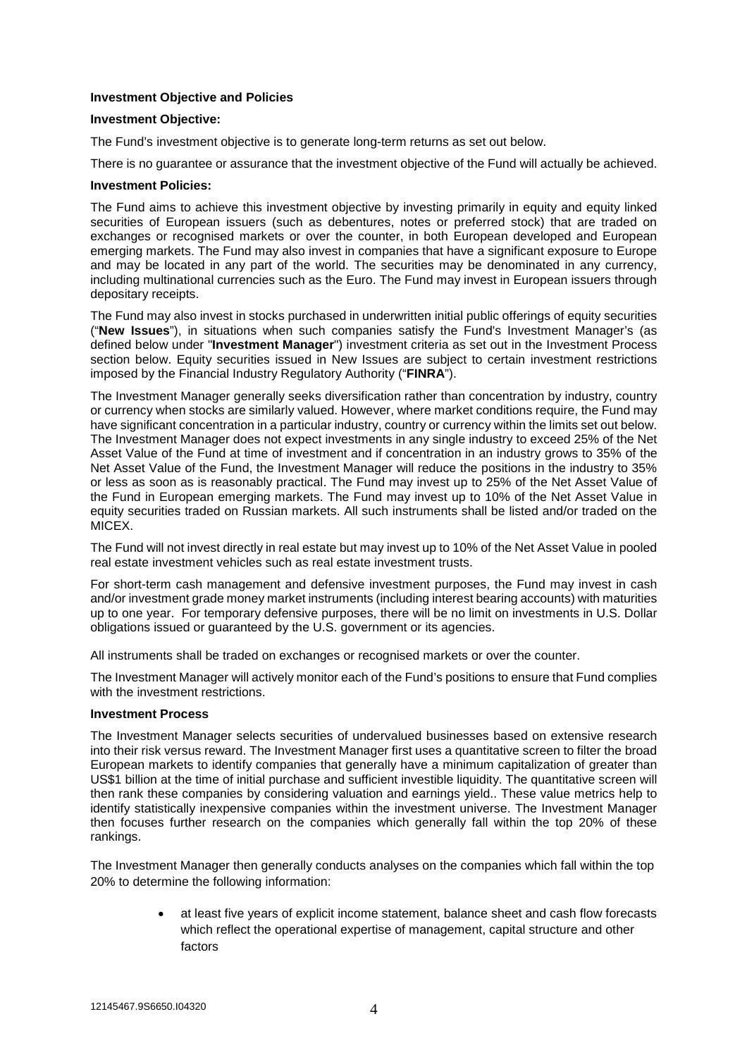# **Investment Objective and Policies**

#### **Investment Objective:**

The Fund's investment objective is to generate long-term returns as set out below.

There is no guarantee or assurance that the investment objective of the Fund will actually be achieved.

#### **Investment Policies:**

The Fund aims to achieve this investment objective by investing primarily in equity and equity linked securities of European issuers (such as debentures, notes or preferred stock) that are traded on exchanges or recognised markets or over the counter, in both European developed and European emerging markets. The Fund may also invest in companies that have a significant exposure to Europe and may be located in any part of the world. The securities may be denominated in any currency, including multinational currencies such as the Euro. The Fund may invest in European issuers through depositary receipts.

The Fund may also invest in stocks purchased in underwritten initial public offerings of equity securities ("**New Issues**"), in situations when such companies satisfy the Fund's Investment Manager's (as defined below under "**Investment Manager**") investment criteria as set out in the Investment Process section below. Equity securities issued in New Issues are subject to certain investment restrictions imposed by the Financial Industry Regulatory Authority ("**FINRA**").

The Investment Manager generally seeks diversification rather than concentration by industry, country or currency when stocks are similarly valued. However, where market conditions require, the Fund may have significant concentration in a particular industry, country or currency within the limits set out below. The Investment Manager does not expect investments in any single industry to exceed 25% of the Net Asset Value of the Fund at time of investment and if concentration in an industry grows to 35% of the Net Asset Value of the Fund, the Investment Manager will reduce the positions in the industry to 35% or less as soon as is reasonably practical. The Fund may invest up to 25% of the Net Asset Value of the Fund in European emerging markets. The Fund may invest up to 10% of the Net Asset Value in equity securities traded on Russian markets. All such instruments shall be listed and/or traded on the MICEX.

The Fund will not invest directly in real estate but may invest up to 10% of the Net Asset Value in pooled real estate investment vehicles such as real estate investment trusts.

For short-term cash management and defensive investment purposes, the Fund may invest in cash and/or investment grade money market instruments (including interest bearing accounts) with maturities up to one year. For temporary defensive purposes, there will be no limit on investments in U.S. Dollar obligations issued or guaranteed by the U.S. government or its agencies.

All instruments shall be traded on exchanges or recognised markets or over the counter.

The Investment Manager will actively monitor each of the Fund's positions to ensure that Fund complies with the investment restrictions.

# **Investment Process**

The Investment Manager selects securities of undervalued businesses based on extensive research into their risk versus reward. The Investment Manager first uses a quantitative screen to filter the broad European markets to identify companies that generally have a minimum capitalization of greater than US\$1 billion at the time of initial purchase and sufficient investible liquidity. The quantitative screen will then rank these companies by considering valuation and earnings yield.. These value metrics help to identify statistically inexpensive companies within the investment universe. The Investment Manager then focuses further research on the companies which generally fall within the top 20% of these rankings.

The Investment Manager then generally conducts analyses on the companies which fall within the top 20% to determine the following information:

> • at least five years of explicit income statement, balance sheet and cash flow forecasts which reflect the operational expertise of management, capital structure and other factors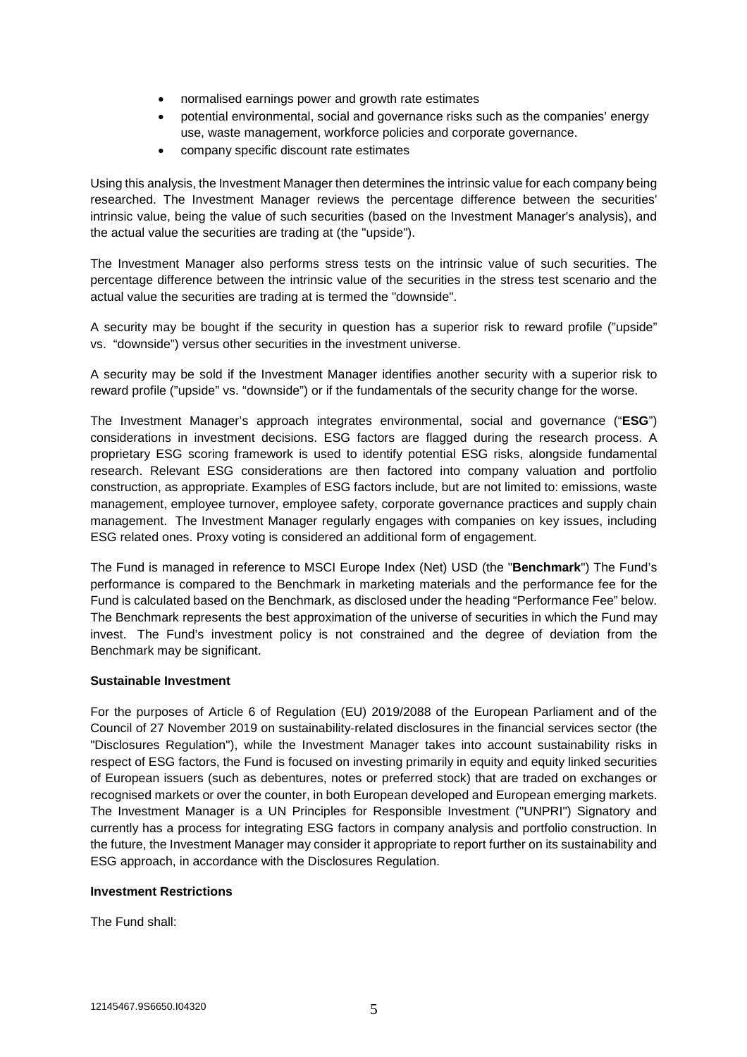- normalised earnings power and growth rate estimates
- potential environmental, social and governance risks such as the companies' energy use, waste management, workforce policies and corporate governance.
- company specific discount rate estimates

Using this analysis, the Investment Manager then determines the intrinsic value for each company being researched. The Investment Manager reviews the percentage difference between the securities' intrinsic value, being the value of such securities (based on the Investment Manager's analysis), and the actual value the securities are trading at (the "upside").

The Investment Manager also performs stress tests on the intrinsic value of such securities. The percentage difference between the intrinsic value of the securities in the stress test scenario and the actual value the securities are trading at is termed the "downside".

A security may be bought if the security in question has a superior risk to reward profile ("upside" vs. "downside") versus other securities in the investment universe.

A security may be sold if the Investment Manager identifies another security with a superior risk to reward profile ("upside" vs. "downside") or if the fundamentals of the security change for the worse.

The Investment Manager's approach integrates environmental, social and governance ("**ESG**") considerations in investment decisions. ESG factors are flagged during the research process. A proprietary ESG scoring framework is used to identify potential ESG risks, alongside fundamental research. Relevant ESG considerations are then factored into company valuation and portfolio construction, as appropriate. Examples of ESG factors include, but are not limited to: emissions, waste management, employee turnover, employee safety, corporate governance practices and supply chain management. The Investment Manager regularly engages with companies on key issues, including ESG related ones. Proxy voting is considered an additional form of engagement.

The Fund is managed in reference to MSCI Europe Index (Net) USD (the "**Benchmark**") The Fund's performance is compared to the Benchmark in marketing materials and the performance fee for the Fund is calculated based on the Benchmark, as disclosed under the heading "Performance Fee" below. The Benchmark represents the best approximation of the universe of securities in which the Fund may invest. The Fund's investment policy is not constrained and the degree of deviation from the Benchmark may be significant.

# **Sustainable Investment**

For the purposes of Article 6 of Regulation (EU) 2019/2088 of the European Parliament and of the Council of 27 November 2019 on sustainability‐related disclosures in the financial services sector (the "Disclosures Regulation"), while the Investment Manager takes into account sustainability risks in respect of ESG factors, the Fund is focused on investing primarily in equity and equity linked securities of European issuers (such as debentures, notes or preferred stock) that are traded on exchanges or recognised markets or over the counter, in both European developed and European emerging markets. The Investment Manager is a UN Principles for Responsible Investment ("UNPRI") Signatory and currently has a process for integrating ESG factors in company analysis and portfolio construction. In the future, the Investment Manager may consider it appropriate to report further on its sustainability and ESG approach, in accordance with the Disclosures Regulation.

## **Investment Restrictions**

The Fund shall: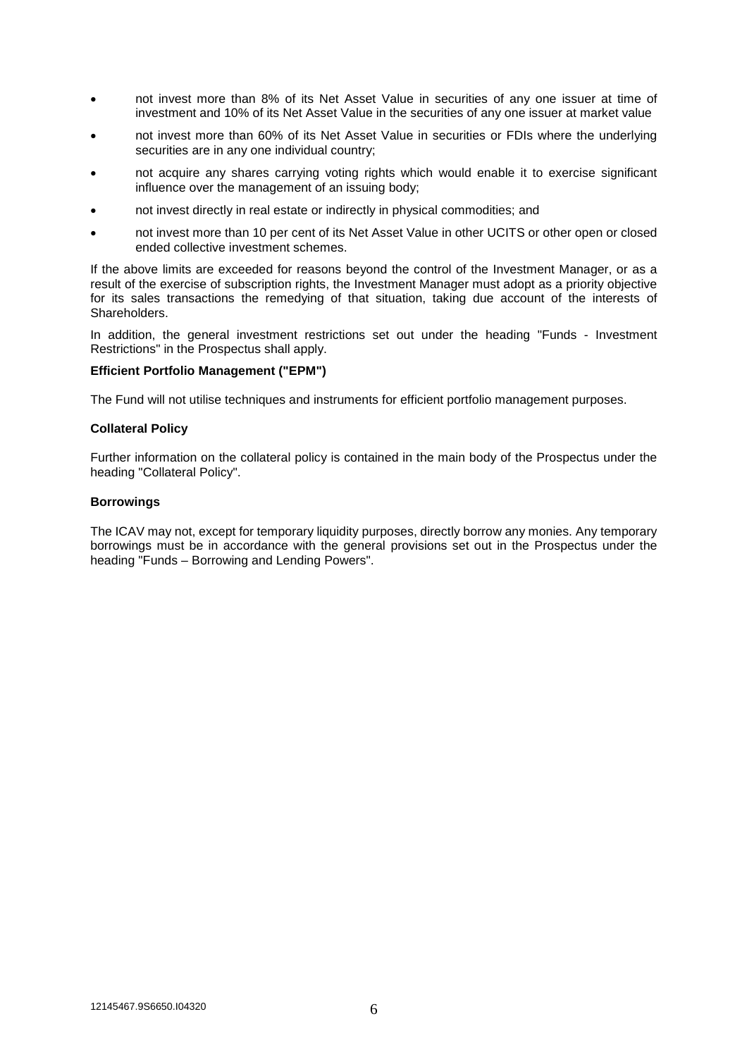- not invest more than 8% of its Net Asset Value in securities of any one issuer at time of investment and 10% of its Net Asset Value in the securities of any one issuer at market value
- not invest more than 60% of its Net Asset Value in securities or FDIs where the underlying securities are in any one individual country;
- not acquire any shares carrying voting rights which would enable it to exercise significant influence over the management of an issuing body;
- not invest directly in real estate or indirectly in physical commodities; and
- not invest more than 10 per cent of its Net Asset Value in other UCITS or other open or closed ended collective investment schemes.

If the above limits are exceeded for reasons beyond the control of the Investment Manager, or as a result of the exercise of subscription rights, the Investment Manager must adopt as a priority objective for its sales transactions the remedying of that situation, taking due account of the interests of Shareholders.

In addition, the general investment restrictions set out under the heading "Funds - Investment Restrictions" in the Prospectus shall apply.

## **Efficient Portfolio Management ("EPM")**

The Fund will not utilise techniques and instruments for efficient portfolio management purposes.

#### **Collateral Policy**

Further information on the collateral policy is contained in the main body of the Prospectus under the heading "Collateral Policy".

#### **Borrowings**

The ICAV may not, except for temporary liquidity purposes, directly borrow any monies. Any temporary borrowings must be in accordance with the general provisions set out in the Prospectus under the heading "Funds – Borrowing and Lending Powers".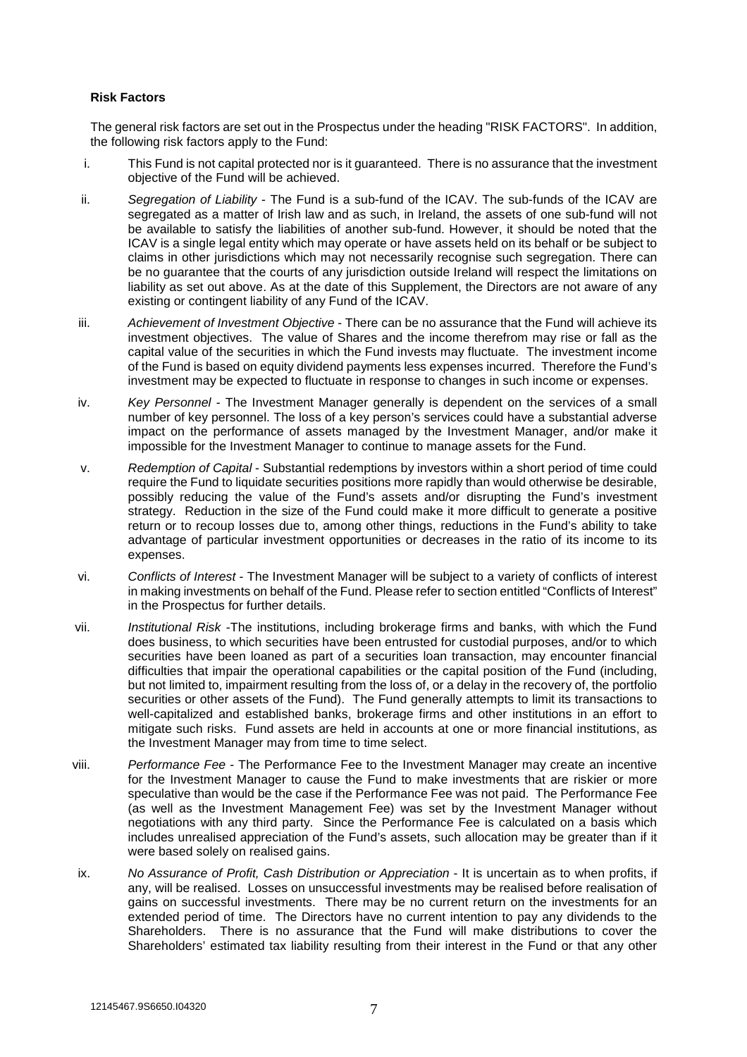# **Risk Factors**

The general risk factors are set out in the Prospectus under the heading "RISK FACTORS". In addition, the following risk factors apply to the Fund:

- i. This Fund is not capital protected nor is it guaranteed. There is no assurance that the investment objective of the Fund will be achieved.
- ii. *Segregation of Liability* The Fund is a sub-fund of the ICAV. The sub-funds of the ICAV are segregated as a matter of Irish law and as such, in Ireland, the assets of one sub-fund will not be available to satisfy the liabilities of another sub-fund. However, it should be noted that the ICAV is a single legal entity which may operate or have assets held on its behalf or be subject to claims in other jurisdictions which may not necessarily recognise such segregation. There can be no guarantee that the courts of any jurisdiction outside Ireland will respect the limitations on liability as set out above. As at the date of this Supplement, the Directors are not aware of any existing or contingent liability of any Fund of the ICAV.
- iii. *Achievement of Investment Objective* There can be no assurance that the Fund will achieve its investment objectives. The value of Shares and the income therefrom may rise or fall as the capital value of the securities in which the Fund invests may fluctuate. The investment income of the Fund is based on equity dividend payments less expenses incurred. Therefore the Fund's investment may be expected to fluctuate in response to changes in such income or expenses.
- iv. *Key Personnel* The Investment Manager generally is dependent on the services of a small number of key personnel. The loss of a key person's services could have a substantial adverse impact on the performance of assets managed by the Investment Manager, and/or make it impossible for the Investment Manager to continue to manage assets for the Fund.
- v. *Redemption of Capital* Substantial redemptions by investors within a short period of time could require the Fund to liquidate securities positions more rapidly than would otherwise be desirable, possibly reducing the value of the Fund's assets and/or disrupting the Fund's investment strategy. Reduction in the size of the Fund could make it more difficult to generate a positive return or to recoup losses due to, among other things, reductions in the Fund's ability to take advantage of particular investment opportunities or decreases in the ratio of its income to its expenses.
- vi. *Conflicts of Interest*  The Investment Manager will be subject to a variety of conflicts of interest in making investments on behalf of the Fund. Please refer to section entitled "Conflicts of Interest" in the Prospectus for further details.
- vii. *Institutional Risk* -The institutions, including brokerage firms and banks, with which the Fund does business, to which securities have been entrusted for custodial purposes, and/or to which securities have been loaned as part of a securities loan transaction, may encounter financial difficulties that impair the operational capabilities or the capital position of the Fund (including, but not limited to, impairment resulting from the loss of, or a delay in the recovery of, the portfolio securities or other assets of the Fund). The Fund generally attempts to limit its transactions to well-capitalized and established banks, brokerage firms and other institutions in an effort to mitigate such risks. Fund assets are held in accounts at one or more financial institutions, as the Investment Manager may from time to time select.
- viii. *Performance Fee* The Performance Fee to the Investment Manager may create an incentive for the Investment Manager to cause the Fund to make investments that are riskier or more speculative than would be the case if the Performance Fee was not paid. The Performance Fee (as well as the Investment Management Fee) was set by the Investment Manager without negotiations with any third party. Since the Performance Fee is calculated on a basis which includes unrealised appreciation of the Fund's assets, such allocation may be greater than if it were based solely on realised gains.
- ix. *No Assurance of Profit, Cash Distribution or Appreciation* It is uncertain as to when profits, if any, will be realised. Losses on unsuccessful investments may be realised before realisation of gains on successful investments. There may be no current return on the investments for an extended period of time. The Directors have no current intention to pay any dividends to the Shareholders. There is no assurance that the Fund will make distributions to cover the Shareholders' estimated tax liability resulting from their interest in the Fund or that any other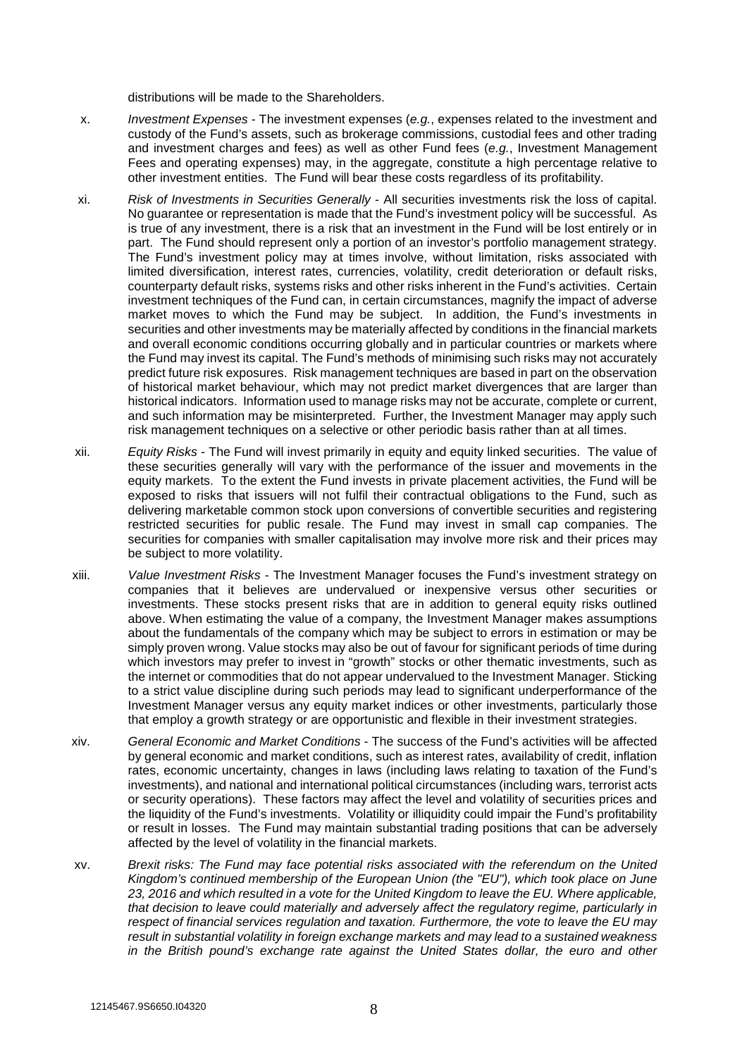distributions will be made to the Shareholders.

- x. *Investment Expenses* The investment expenses (*e.g.*, expenses related to the investment and custody of the Fund's assets, such as brokerage commissions, custodial fees and other trading and investment charges and fees) as well as other Fund fees (*e.g.*, Investment Management Fees and operating expenses) may, in the aggregate, constitute a high percentage relative to other investment entities. The Fund will bear these costs regardless of its profitability.
- xi. *Risk of Investments in Securities Generally* All securities investments risk the loss of capital. No guarantee or representation is made that the Fund's investment policy will be successful. As is true of any investment, there is a risk that an investment in the Fund will be lost entirely or in part. The Fund should represent only a portion of an investor's portfolio management strategy. The Fund's investment policy may at times involve, without limitation, risks associated with limited diversification, interest rates, currencies, volatility, credit deterioration or default risks, counterparty default risks, systems risks and other risks inherent in the Fund's activities. Certain investment techniques of the Fund can, in certain circumstances, magnify the impact of adverse market moves to which the Fund may be subject. In addition, the Fund's investments in securities and other investments may be materially affected by conditions in the financial markets and overall economic conditions occurring globally and in particular countries or markets where the Fund may invest its capital. The Fund's methods of minimising such risks may not accurately predict future risk exposures. Risk management techniques are based in part on the observation of historical market behaviour, which may not predict market divergences that are larger than historical indicators. Information used to manage risks may not be accurate, complete or current, and such information may be misinterpreted. Further, the Investment Manager may apply such risk management techniques on a selective or other periodic basis rather than at all times.
- xii. *Equity Risks* The Fund will invest primarily in equity and equity linked securities. The value of these securities generally will vary with the performance of the issuer and movements in the equity markets. To the extent the Fund invests in private placement activities, the Fund will be exposed to risks that issuers will not fulfil their contractual obligations to the Fund, such as delivering marketable common stock upon conversions of convertible securities and registering restricted securities for public resale. The Fund may invest in small cap companies. The securities for companies with smaller capitalisation may involve more risk and their prices may be subject to more volatility.
- xiii. *Value Investment Risks* The Investment Manager focuses the Fund's investment strategy on companies that it believes are undervalued or inexpensive versus other securities or investments. These stocks present risks that are in addition to general equity risks outlined above. When estimating the value of a company, the Investment Manager makes assumptions about the fundamentals of the company which may be subject to errors in estimation or may be simply proven wrong. Value stocks may also be out of favour for significant periods of time during which investors may prefer to invest in "growth" stocks or other thematic investments, such as the internet or commodities that do not appear undervalued to the Investment Manager. Sticking to a strict value discipline during such periods may lead to significant underperformance of the Investment Manager versus any equity market indices or other investments, particularly those that employ a growth strategy or are opportunistic and flexible in their investment strategies.
- xiv. *General Economic and Market Conditions* The success of the Fund's activities will be affected by general economic and market conditions, such as interest rates, availability of credit, inflation rates, economic uncertainty, changes in laws (including laws relating to taxation of the Fund's investments), and national and international political circumstances (including wars, terrorist acts or security operations). These factors may affect the level and volatility of securities prices and the liquidity of the Fund's investments. Volatility or illiquidity could impair the Fund's profitability or result in losses. The Fund may maintain substantial trading positions that can be adversely affected by the level of volatility in the financial markets.
- xv. *Brexit risks: The Fund may face potential risks associated with the referendum on the United Kingdom's continued membership of the European Union (the "EU"), which took place on June 23, 2016 and which resulted in a vote for the United Kingdom to leave the EU. Where applicable, that decision to leave could materially and adversely affect the regulatory regime, particularly in respect of financial services regulation and taxation. Furthermore, the vote to leave the EU may result in substantial volatility in foreign exchange markets and may lead to a sustained weakness in the British pound's exchange rate against the United States dollar, the euro and other*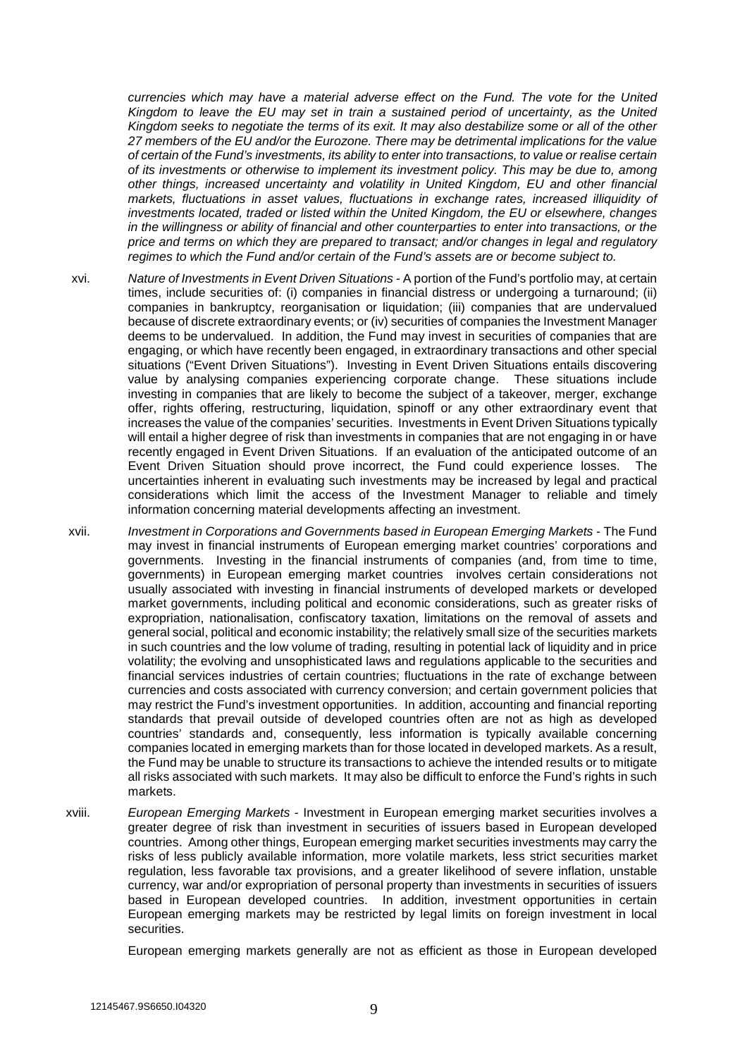*currencies which may have a material adverse effect on the Fund. The vote for the United Kingdom to leave the EU may set in train a sustained period of uncertainty, as the United Kingdom seeks to negotiate the terms of its exit. It may also destabilize some or all of the other 27 members of the EU and/or the Eurozone. There may be detrimental implications for the value of certain of the Fund's investments, its ability to enter into transactions, to value or realise certain of its investments or otherwise to implement its investment policy. This may be due to, among other things, increased uncertainty and volatility in United Kingdom, EU and other financial markets, fluctuations in asset values, fluctuations in exchange rates, increased illiquidity of investments located, traded or listed within the United Kingdom, the EU or elsewhere, changes in the willingness or ability of financial and other counterparties to enter into transactions, or the price and terms on which they are prepared to transact; and/or changes in legal and regulatory regimes to which the Fund and/or certain of the Fund's assets are or become subject to.* 

- xvi. *Nature of Investments in Event Driven Situations* A portion of the Fund's portfolio may, at certain times, include securities of: (i) companies in financial distress or undergoing a turnaround; (ii) companies in bankruptcy, reorganisation or liquidation; (iii) companies that are undervalued because of discrete extraordinary events; or (iv) securities of companies the Investment Manager deems to be undervalued. In addition, the Fund may invest in securities of companies that are engaging, or which have recently been engaged, in extraordinary transactions and other special situations ("Event Driven Situations"). Investing in Event Driven Situations entails discovering value by analysing companies experiencing corporate change. These situations include investing in companies that are likely to become the subject of a takeover, merger, exchange offer, rights offering, restructuring, liquidation, spinoff or any other extraordinary event that increases the value of the companies' securities. Investments in Event Driven Situations typically will entail a higher degree of risk than investments in companies that are not engaging in or have recently engaged in Event Driven Situations. If an evaluation of the anticipated outcome of an Event Driven Situation should prove incorrect, the Fund could experience losses. The uncertainties inherent in evaluating such investments may be increased by legal and practical considerations which limit the access of the Investment Manager to reliable and timely information concerning material developments affecting an investment.
- xvii. *Investment in Corporations and Governments based in European Emerging Markets* The Fund may invest in financial instruments of European emerging market countries' corporations and governments. Investing in the financial instruments of companies (and, from time to time, governments) in European emerging market countries involves certain considerations not usually associated with investing in financial instruments of developed markets or developed market governments, including political and economic considerations, such as greater risks of expropriation, nationalisation, confiscatory taxation, limitations on the removal of assets and general social, political and economic instability; the relatively small size of the securities markets in such countries and the low volume of trading, resulting in potential lack of liquidity and in price volatility; the evolving and unsophisticated laws and regulations applicable to the securities and financial services industries of certain countries; fluctuations in the rate of exchange between currencies and costs associated with currency conversion; and certain government policies that may restrict the Fund's investment opportunities. In addition, accounting and financial reporting standards that prevail outside of developed countries often are not as high as developed countries' standards and, consequently, less information is typically available concerning companies located in emerging markets than for those located in developed markets. As a result, the Fund may be unable to structure its transactions to achieve the intended results or to mitigate all risks associated with such markets. It may also be difficult to enforce the Fund's rights in such markets.
- xviii. *European Emerging Markets* Investment in European emerging market securities involves a greater degree of risk than investment in securities of issuers based in European developed countries. Among other things, European emerging market securities investments may carry the risks of less publicly available information, more volatile markets, less strict securities market regulation, less favorable tax provisions, and a greater likelihood of severe inflation, unstable currency, war and/or expropriation of personal property than investments in securities of issuers based in European developed countries. In addition, investment opportunities in certain European emerging markets may be restricted by legal limits on foreign investment in local securities.

European emerging markets generally are not as efficient as those in European developed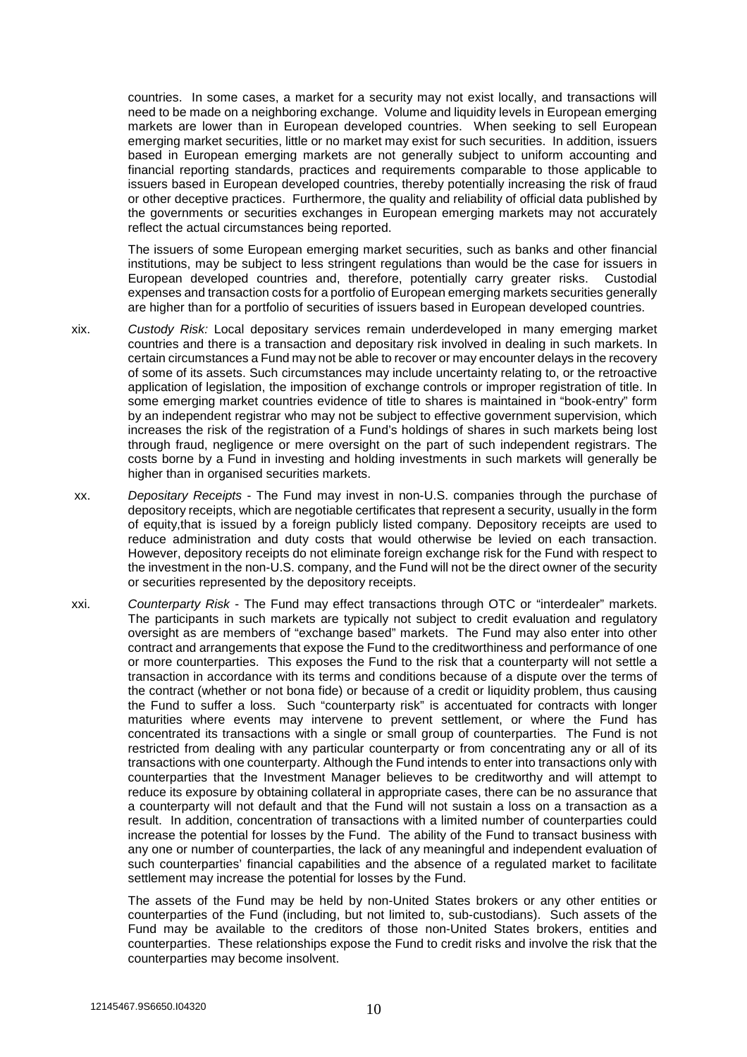countries. In some cases, a market for a security may not exist locally, and transactions will need to be made on a neighboring exchange. Volume and liquidity levels in European emerging markets are lower than in European developed countries. When seeking to sell European emerging market securities, little or no market may exist for such securities. In addition, issuers based in European emerging markets are not generally subject to uniform accounting and financial reporting standards, practices and requirements comparable to those applicable to issuers based in European developed countries, thereby potentially increasing the risk of fraud or other deceptive practices. Furthermore, the quality and reliability of official data published by the governments or securities exchanges in European emerging markets may not accurately reflect the actual circumstances being reported.

The issuers of some European emerging market securities, such as banks and other financial institutions, may be subject to less stringent regulations than would be the case for issuers in European developed countries and, therefore, potentially carry greater risks. Custodial expenses and transaction costs for a portfolio of European emerging markets securities generally are higher than for a portfolio of securities of issuers based in European developed countries.

- xix. *Custody Risk:* Local depositary services remain underdeveloped in many emerging market countries and there is a transaction and depositary risk involved in dealing in such markets. In certain circumstances a Fund may not be able to recover or may encounter delays in the recovery of some of its assets. Such circumstances may include uncertainty relating to, or the retroactive application of legislation, the imposition of exchange controls or improper registration of title. In some emerging market countries evidence of title to shares is maintained in "book-entry" form by an independent registrar who may not be subject to effective government supervision, which increases the risk of the registration of a Fund's holdings of shares in such markets being lost through fraud, negligence or mere oversight on the part of such independent registrars. The costs borne by a Fund in investing and holding investments in such markets will generally be higher than in organised securities markets.
- xx. *Depositary Receipts* The Fund may invest in non-U.S. companies through the purchase of depository receipts, which are negotiable certificates that represent a security, usually in the form of equity,that is issued by a foreign publicly listed company. Depository receipts are used to reduce administration and duty costs that would otherwise be levied on each transaction. However, depository receipts do not eliminate foreign exchange risk for the Fund with respect to the investment in the non-U.S. company, and the Fund will not be the direct owner of the security or securities represented by the depository receipts.
- xxi. *Counterparty Risk* The Fund may effect transactions through OTC or "interdealer" markets. The participants in such markets are typically not subject to credit evaluation and regulatory oversight as are members of "exchange based" markets. The Fund may also enter into other contract and arrangements that expose the Fund to the creditworthiness and performance of one or more counterparties. This exposes the Fund to the risk that a counterparty will not settle a transaction in accordance with its terms and conditions because of a dispute over the terms of the contract (whether or not bona fide) or because of a credit or liquidity problem, thus causing the Fund to suffer a loss. Such "counterparty risk" is accentuated for contracts with longer maturities where events may intervene to prevent settlement, or where the Fund has concentrated its transactions with a single or small group of counterparties. The Fund is not restricted from dealing with any particular counterparty or from concentrating any or all of its transactions with one counterparty. Although the Fund intends to enter into transactions only with counterparties that the Investment Manager believes to be creditworthy and will attempt to reduce its exposure by obtaining collateral in appropriate cases, there can be no assurance that a counterparty will not default and that the Fund will not sustain a loss on a transaction as a result. In addition, concentration of transactions with a limited number of counterparties could increase the potential for losses by the Fund. The ability of the Fund to transact business with any one or number of counterparties, the lack of any meaningful and independent evaluation of such counterparties' financial capabilities and the absence of a regulated market to facilitate settlement may increase the potential for losses by the Fund.

The assets of the Fund may be held by non-United States brokers or any other entities or counterparties of the Fund (including, but not limited to, sub-custodians). Such assets of the Fund may be available to the creditors of those non-United States brokers, entities and counterparties. These relationships expose the Fund to credit risks and involve the risk that the counterparties may become insolvent.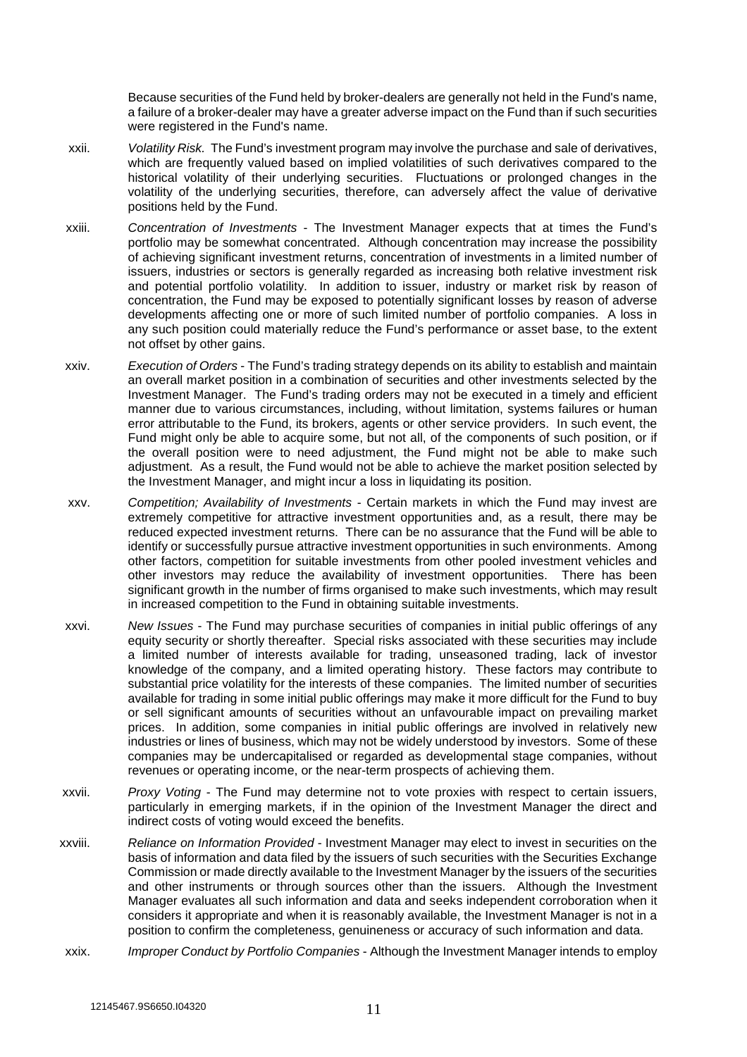Because securities of the Fund held by broker-dealers are generally not held in the Fund's name, a failure of a broker-dealer may have a greater adverse impact on the Fund than if such securities were registered in the Fund's name.

- xxii. *Volatility Risk.* The Fund's investment program may involve the purchase and sale of derivatives, which are frequently valued based on implied volatilities of such derivatives compared to the historical volatility of their underlying securities. Fluctuations or prolonged changes in the volatility of the underlying securities, therefore, can adversely affect the value of derivative positions held by the Fund.
- xxiii. *Concentration of Investments* The Investment Manager expects that at times the Fund's portfolio may be somewhat concentrated. Although concentration may increase the possibility of achieving significant investment returns, concentration of investments in a limited number of issuers, industries or sectors is generally regarded as increasing both relative investment risk and potential portfolio volatility. In addition to issuer, industry or market risk by reason of concentration, the Fund may be exposed to potentially significant losses by reason of adverse developments affecting one or more of such limited number of portfolio companies. A loss in any such position could materially reduce the Fund's performance or asset base, to the extent not offset by other gains.
- xxiv. *Execution of Orders* The Fund's trading strategy depends on its ability to establish and maintain an overall market position in a combination of securities and other investments selected by the Investment Manager. The Fund's trading orders may not be executed in a timely and efficient manner due to various circumstances, including, without limitation, systems failures or human error attributable to the Fund, its brokers, agents or other service providers. In such event, the Fund might only be able to acquire some, but not all, of the components of such position, or if the overall position were to need adjustment, the Fund might not be able to make such adjustment. As a result, the Fund would not be able to achieve the market position selected by the Investment Manager, and might incur a loss in liquidating its position.
- xxv. *Competition; Availability of Investments* Certain markets in which the Fund may invest are extremely competitive for attractive investment opportunities and, as a result, there may be reduced expected investment returns. There can be no assurance that the Fund will be able to identify or successfully pursue attractive investment opportunities in such environments. Among other factors, competition for suitable investments from other pooled investment vehicles and other investors may reduce the availability of investment opportunities. There has been significant growth in the number of firms organised to make such investments, which may result in increased competition to the Fund in obtaining suitable investments.
- xxvi. *New Issues* The Fund may purchase securities of companies in initial public offerings of any equity security or shortly thereafter. Special risks associated with these securities may include a limited number of interests available for trading, unseasoned trading, lack of investor knowledge of the company, and a limited operating history. These factors may contribute to substantial price volatility for the interests of these companies. The limited number of securities available for trading in some initial public offerings may make it more difficult for the Fund to buy or sell significant amounts of securities without an unfavourable impact on prevailing market prices. In addition, some companies in initial public offerings are involved in relatively new industries or lines of business, which may not be widely understood by investors. Some of these companies may be undercapitalised or regarded as developmental stage companies, without revenues or operating income, or the near-term prospects of achieving them.
- xxvii. *Proxy Voting* The Fund may determine not to vote proxies with respect to certain issuers, particularly in emerging markets, if in the opinion of the Investment Manager the direct and indirect costs of voting would exceed the benefits.
- xxviii. *Reliance on Information Provided* Investment Manager may elect to invest in securities on the basis of information and data filed by the issuers of such securities with the Securities Exchange Commission or made directly available to the Investment Manager by the issuers of the securities and other instruments or through sources other than the issuers. Although the Investment Manager evaluates all such information and data and seeks independent corroboration when it considers it appropriate and when it is reasonably available, the Investment Manager is not in a position to confirm the completeness, genuineness or accuracy of such information and data.
- xxix. *Improper Conduct by Portfolio Companies* Although the Investment Manager intends to employ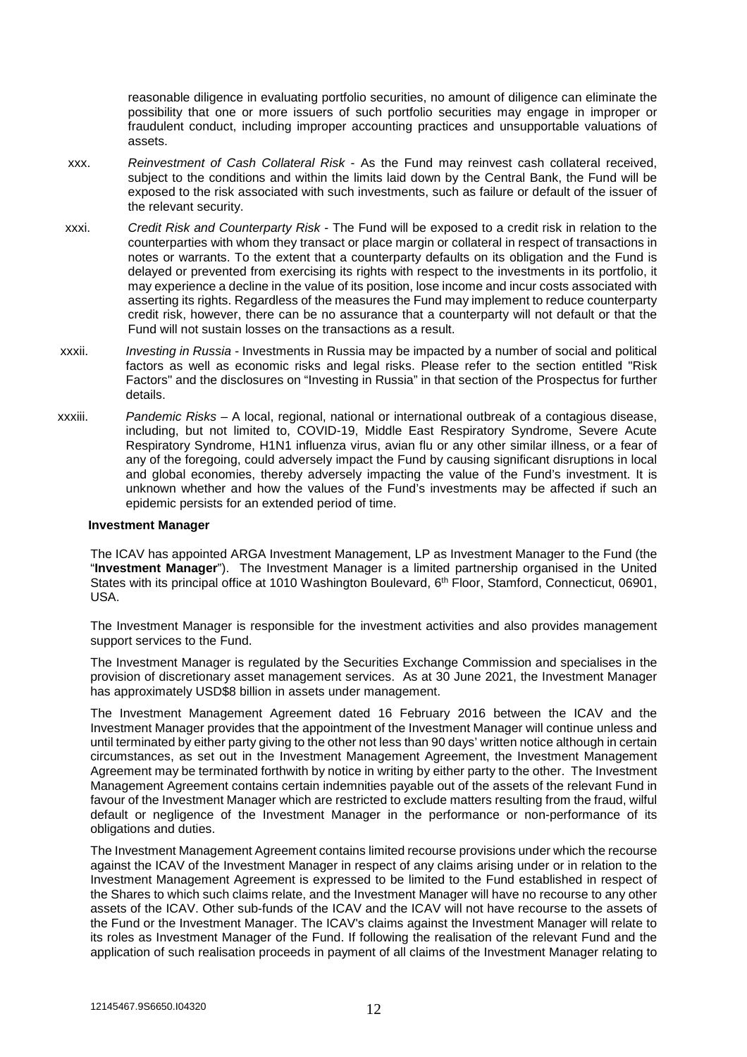reasonable diligence in evaluating portfolio securities, no amount of diligence can eliminate the possibility that one or more issuers of such portfolio securities may engage in improper or fraudulent conduct, including improper accounting practices and unsupportable valuations of assets.

- xxx. *Reinvestment of Cash Collateral Risk* As the Fund may reinvest cash collateral received, subject to the conditions and within the limits laid down by the Central Bank, the Fund will be exposed to the risk associated with such investments, such as failure or default of the issuer of the relevant security.
- xxxi. *Credit Risk and Counterparty Risk* The Fund will be exposed to a credit risk in relation to the counterparties with whom they transact or place margin or collateral in respect of transactions in notes or warrants. To the extent that a counterparty defaults on its obligation and the Fund is delayed or prevented from exercising its rights with respect to the investments in its portfolio, it may experience a decline in the value of its position, lose income and incur costs associated with asserting its rights. Regardless of the measures the Fund may implement to reduce counterparty credit risk, however, there can be no assurance that a counterparty will not default or that the Fund will not sustain losses on the transactions as a result.
- xxxii. *Investing in Russia* Investments in Russia may be impacted by a number of social and political factors as well as economic risks and legal risks. Please refer to the section entitled "Risk Factors" and the disclosures on "Investing in Russia" in that section of the Prospectus for further details.
- xxxiii. *Pandemic Risks –* A local, regional, national or international outbreak of a contagious disease, including, but not limited to, COVID-19, Middle East Respiratory Syndrome, Severe Acute Respiratory Syndrome, H1N1 influenza virus, avian flu or any other similar illness, or a fear of any of the foregoing, could adversely impact the Fund by causing significant disruptions in local and global economies, thereby adversely impacting the value of the Fund's investment. It is unknown whether and how the values of the Fund's investments may be affected if such an epidemic persists for an extended period of time.

#### **Investment Manager**

The ICAV has appointed ARGA Investment Management, LP as Investment Manager to the Fund (the "**Investment Manager**"). The Investment Manager is a limited partnership organised in the United States with its principal office at 1010 Washington Boulevard, 6<sup>th</sup> Floor, Stamford, Connecticut, 06901, USA.

The Investment Manager is responsible for the investment activities and also provides management support services to the Fund.

The Investment Manager is regulated by the Securities Exchange Commission and specialises in the provision of discretionary asset management services. As at 30 June 2021, the Investment Manager has approximately USD\$8 billion in assets under management.

The Investment Management Agreement dated 16 February 2016 between the ICAV and the Investment Manager provides that the appointment of the Investment Manager will continue unless and until terminated by either party giving to the other not less than 90 days' written notice although in certain circumstances, as set out in the Investment Management Agreement, the Investment Management Agreement may be terminated forthwith by notice in writing by either party to the other. The Investment Management Agreement contains certain indemnities payable out of the assets of the relevant Fund in favour of the Investment Manager which are restricted to exclude matters resulting from the fraud, wilful default or negligence of the Investment Manager in the performance or non-performance of its obligations and duties.

The Investment Management Agreement contains limited recourse provisions under which the recourse against the ICAV of the Investment Manager in respect of any claims arising under or in relation to the Investment Management Agreement is expressed to be limited to the Fund established in respect of the Shares to which such claims relate, and the Investment Manager will have no recourse to any other assets of the ICAV. Other sub-funds of the ICAV and the ICAV will not have recourse to the assets of the Fund or the Investment Manager. The ICAV's claims against the Investment Manager will relate to its roles as Investment Manager of the Fund. If following the realisation of the relevant Fund and the application of such realisation proceeds in payment of all claims of the Investment Manager relating to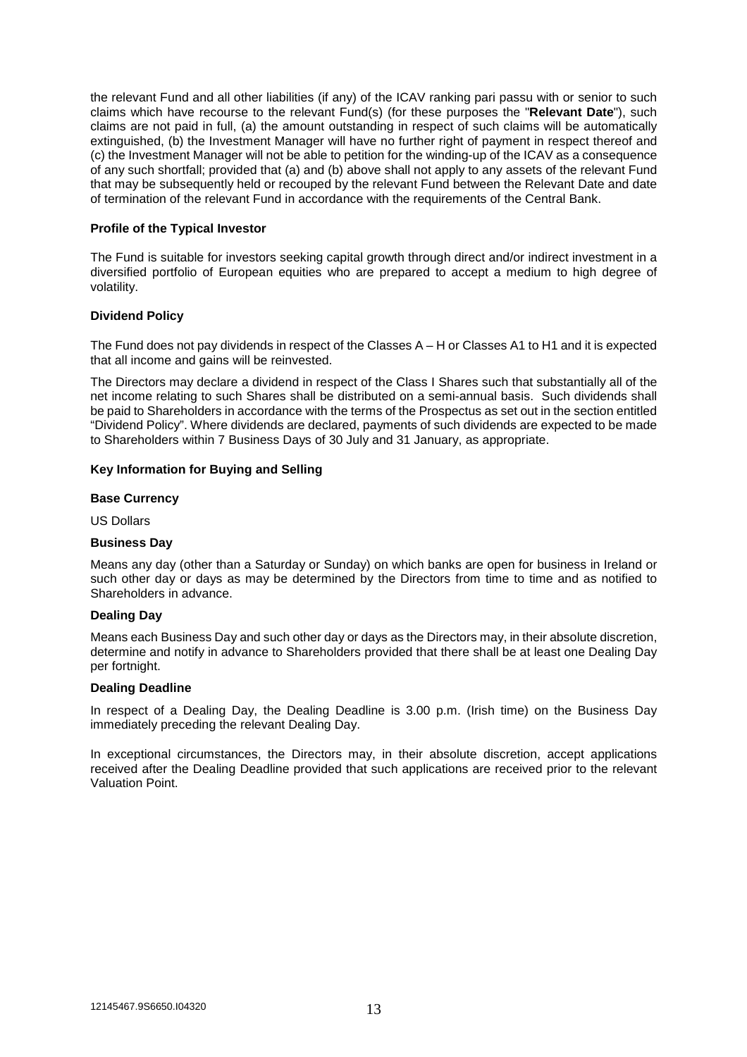the relevant Fund and all other liabilities (if any) of the ICAV ranking pari passu with or senior to such claims which have recourse to the relevant Fund(s) (for these purposes the "**Relevant Date**"), such claims are not paid in full, (a) the amount outstanding in respect of such claims will be automatically extinguished, (b) the Investment Manager will have no further right of payment in respect thereof and (c) the Investment Manager will not be able to petition for the winding-up of the ICAV as a consequence of any such shortfall; provided that (a) and (b) above shall not apply to any assets of the relevant Fund that may be subsequently held or recouped by the relevant Fund between the Relevant Date and date of termination of the relevant Fund in accordance with the requirements of the Central Bank.

## **Profile of the Typical Investor**

The Fund is suitable for investors seeking capital growth through direct and/or indirect investment in a diversified portfolio of European equities who are prepared to accept a medium to high degree of volatility.

## **Dividend Policy**

The Fund does not pay dividends in respect of the Classes A – H or Classes A1 to H1 and it is expected that all income and gains will be reinvested.

The Directors may declare a dividend in respect of the Class I Shares such that substantially all of the net income relating to such Shares shall be distributed on a semi-annual basis. Such dividends shall be paid to Shareholders in accordance with the terms of the Prospectus as set out in the section entitled "Dividend Policy". Where dividends are declared, payments of such dividends are expected to be made to Shareholders within 7 Business Days of 30 July and 31 January, as appropriate.

## **Key Information for Buying and Selling**

## **Base Currency**

US Dollars

## **Business Day**

Means any day (other than a Saturday or Sunday) on which banks are open for business in Ireland or such other day or days as may be determined by the Directors from time to time and as notified to Shareholders in advance.

## **Dealing Day**

Means each Business Day and such other day or days as the Directors may, in their absolute discretion, determine and notify in advance to Shareholders provided that there shall be at least one Dealing Day per fortnight.

## **Dealing Deadline**

In respect of a Dealing Day, the Dealing Deadline is 3.00 p.m. (Irish time) on the Business Day immediately preceding the relevant Dealing Day.

In exceptional circumstances, the Directors may, in their absolute discretion, accept applications received after the Dealing Deadline provided that such applications are received prior to the relevant Valuation Point.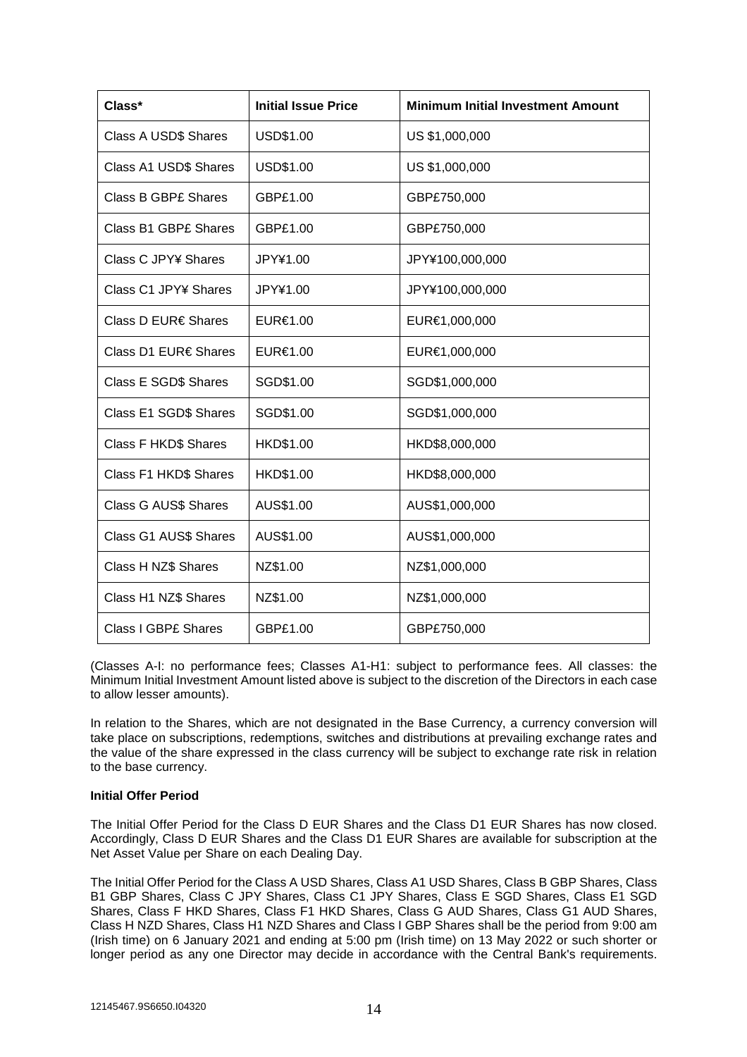| Class*                      | <b>Initial Issue Price</b> | <b>Minimum Initial Investment Amount</b> |
|-----------------------------|----------------------------|------------------------------------------|
| Class A USD\$ Shares        | USD\$1.00                  | US \$1,000,000                           |
| Class A1 USD\$ Shares       | USD\$1.00                  | US \$1,000,000                           |
| <b>Class B GBP£ Shares</b>  | GBP£1.00                   | GBP£750,000                              |
| <b>Class B1 GBP£ Shares</b> | GBP£1.00                   | GBP£750,000                              |
| Class C JPY¥ Shares         | JPY¥1.00                   | JPY¥100,000,000                          |
| Class C1 JPY¥ Shares        | JPY¥1.00                   | JPY¥100,000,000                          |
| Class D EUR€ Shares         | EUR€1.00                   | EUR€1,000,000                            |
| Class D1 EUR€ Shares        | EUR€1.00                   | EUR€1,000,000                            |
| Class E SGD\$ Shares        | SGD\$1.00                  | SGD\$1,000,000                           |
| Class E1 SGD\$ Shares       | SGD\$1.00                  | SGD\$1,000,000                           |
| <b>Class F HKD\$ Shares</b> | HKD\$1.00                  | HKD\$8,000,000                           |
| Class F1 HKD\$ Shares       | HKD\$1.00                  | HKD\$8,000,000                           |
| <b>Class G AUS\$ Shares</b> | AUS\$1.00                  | AUS\$1,000,000                           |
| Class G1 AUS\$ Shares       | AUS\$1.00                  | AUS\$1,000,000                           |
| Class H NZ\$ Shares         | NZ\$1.00                   | NZ\$1,000,000                            |
| Class H1 NZ\$ Shares        | NZ\$1.00                   | NZ\$1,000,000                            |
| <b>Class I GBPE Shares</b>  | GBP£1.00                   | GBP£750,000                              |

(Classes A-I: no performance fees; Classes A1-H1: subject to performance fees. All classes: the Minimum Initial Investment Amount listed above is subject to the discretion of the Directors in each case to allow lesser amounts).

In relation to the Shares, which are not designated in the Base Currency, a currency conversion will take place on subscriptions, redemptions, switches and distributions at prevailing exchange rates and the value of the share expressed in the class currency will be subject to exchange rate risk in relation to the base currency.

# **Initial Offer Period**

The Initial Offer Period for the Class D EUR Shares and the Class D1 EUR Shares has now closed. Accordingly, Class D EUR Shares and the Class D1 EUR Shares are available for subscription at the Net Asset Value per Share on each Dealing Day.

The Initial Offer Period for the Class A USD Shares, Class A1 USD Shares, Class B GBP Shares, Class B1 GBP Shares, Class C JPY Shares, Class C1 JPY Shares, Class E SGD Shares, Class E1 SGD Shares, Class F HKD Shares, Class F1 HKD Shares, Class G AUD Shares, Class G1 AUD Shares, Class H NZD Shares, Class H1 NZD Shares and Class I GBP Shares shall be the period from 9:00 am (Irish time) on 6 January 2021 and ending at 5:00 pm (Irish time) on 13 May 2022 or such shorter or longer period as any one Director may decide in accordance with the Central Bank's requirements.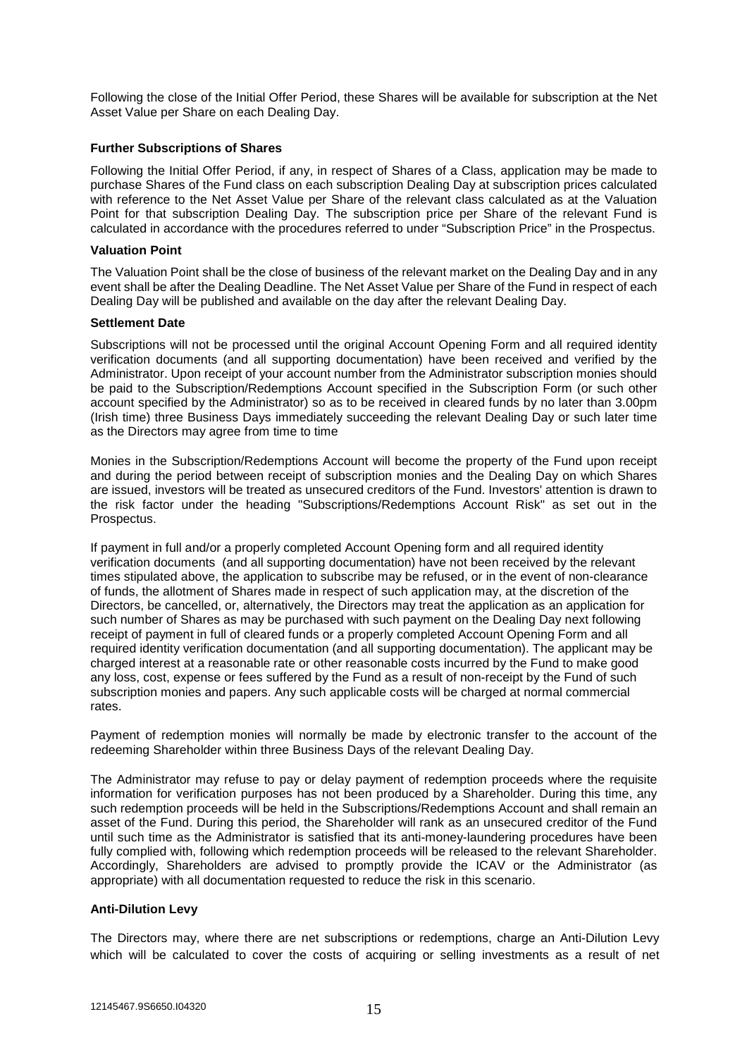Following the close of the Initial Offer Period, these Shares will be available for subscription at the Net Asset Value per Share on each Dealing Day.

## **Further Subscriptions of Shares**

Following the Initial Offer Period, if any, in respect of Shares of a Class, application may be made to purchase Shares of the Fund class on each subscription Dealing Day at subscription prices calculated with reference to the Net Asset Value per Share of the relevant class calculated as at the Valuation Point for that subscription Dealing Day. The subscription price per Share of the relevant Fund is calculated in accordance with the procedures referred to under "Subscription Price" in the Prospectus.

## **Valuation Point**

The Valuation Point shall be the close of business of the relevant market on the Dealing Day and in any event shall be after the Dealing Deadline. The Net Asset Value per Share of the Fund in respect of each Dealing Day will be published and available on the day after the relevant Dealing Day.

## **Settlement Date**

Subscriptions will not be processed until the original Account Opening Form and all required identity verification documents (and all supporting documentation) have been received and verified by the Administrator. Upon receipt of your account number from the Administrator subscription monies should be paid to the Subscription/Redemptions Account specified in the Subscription Form (or such other account specified by the Administrator) so as to be received in cleared funds by no later than 3.00pm (Irish time) three Business Days immediately succeeding the relevant Dealing Day or such later time as the Directors may agree from time to time

Monies in the Subscription/Redemptions Account will become the property of the Fund upon receipt and during the period between receipt of subscription monies and the Dealing Day on which Shares are issued, investors will be treated as unsecured creditors of the Fund. Investors' attention is drawn to the risk factor under the heading "Subscriptions/Redemptions Account Risk" as set out in the Prospectus.

If payment in full and/or a properly completed Account Opening form and all required identity verification documents (and all supporting documentation) have not been received by the relevant times stipulated above, the application to subscribe may be refused, or in the event of non-clearance of funds, the allotment of Shares made in respect of such application may, at the discretion of the Directors, be cancelled, or, alternatively, the Directors may treat the application as an application for such number of Shares as may be purchased with such payment on the Dealing Day next following receipt of payment in full of cleared funds or a properly completed Account Opening Form and all required identity verification documentation (and all supporting documentation). The applicant may be charged interest at a reasonable rate or other reasonable costs incurred by the Fund to make good any loss, cost, expense or fees suffered by the Fund as a result of non-receipt by the Fund of such subscription monies and papers. Any such applicable costs will be charged at normal commercial rates.

Payment of redemption monies will normally be made by electronic transfer to the account of the redeeming Shareholder within three Business Days of the relevant Dealing Day.

The Administrator may refuse to pay or delay payment of redemption proceeds where the requisite information for verification purposes has not been produced by a Shareholder. During this time, any such redemption proceeds will be held in the Subscriptions/Redemptions Account and shall remain an asset of the Fund. During this period, the Shareholder will rank as an unsecured creditor of the Fund until such time as the Administrator is satisfied that its anti-money-laundering procedures have been fully complied with, following which redemption proceeds will be released to the relevant Shareholder. Accordingly, Shareholders are advised to promptly provide the ICAV or the Administrator (as appropriate) with all documentation requested to reduce the risk in this scenario.

# **Anti-Dilution Levy**

The Directors may, where there are net subscriptions or redemptions, charge an Anti-Dilution Levy which will be calculated to cover the costs of acquiring or selling investments as a result of net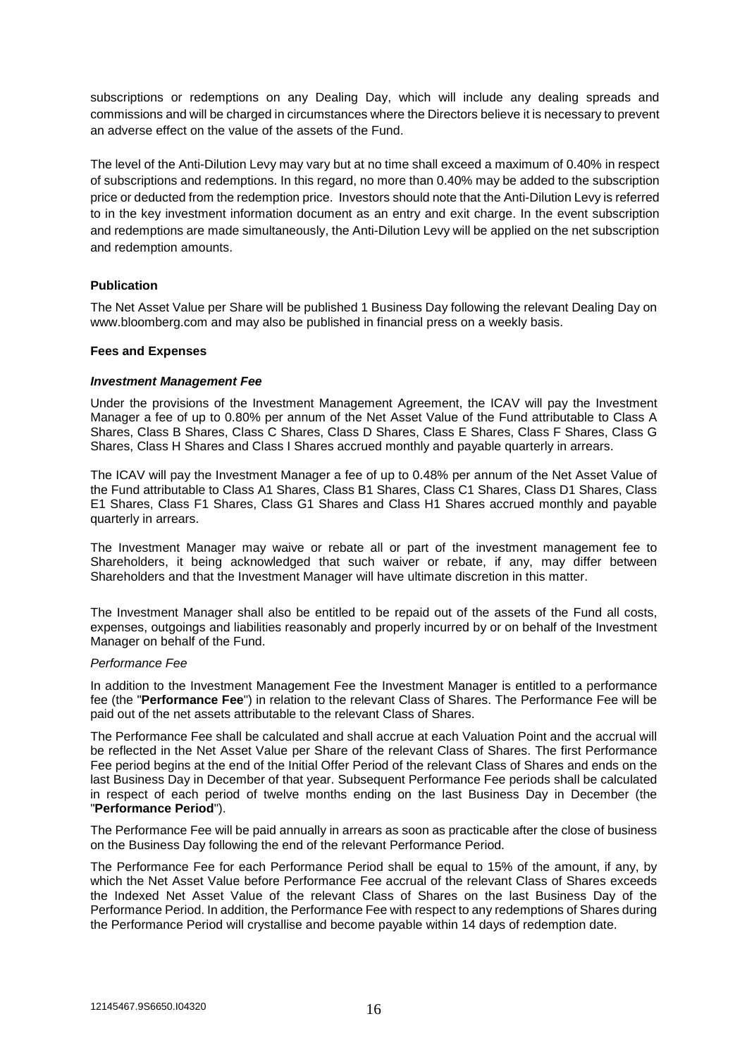subscriptions or redemptions on any Dealing Day, which will include any dealing spreads and commissions and will be charged in circumstances where the Directors believe it is necessary to prevent an adverse effect on the value of the assets of the Fund.

The level of the Anti-Dilution Levy may vary but at no time shall exceed a maximum of 0.40% in respect of subscriptions and redemptions. In this regard, no more than 0.40% may be added to the subscription price or deducted from the redemption price. Investors should note that the Anti-Dilution Levy is referred to in the key investment information document as an entry and exit charge. In the event subscription and redemptions are made simultaneously, the Anti-Dilution Levy will be applied on the net subscription and redemption amounts.

# **Publication**

The Net Asset Value per Share will be published 1 Business Day following the relevant Dealing Day on www.bloomberg.com and may also be published in financial press on a weekly basis.

## **Fees and Expenses**

## *Investment Management Fee*

Under the provisions of the Investment Management Agreement, the ICAV will pay the Investment Manager a fee of up to 0.80% per annum of the Net Asset Value of the Fund attributable to Class A Shares, Class B Shares, Class C Shares, Class D Shares, Class E Shares, Class F Shares, Class G Shares, Class H Shares and Class I Shares accrued monthly and payable quarterly in arrears.

The ICAV will pay the Investment Manager a fee of up to 0.48% per annum of the Net Asset Value of the Fund attributable to Class A1 Shares, Class B1 Shares, Class C1 Shares, Class D1 Shares, Class E1 Shares, Class F1 Shares, Class G1 Shares and Class H1 Shares accrued monthly and payable quarterly in arrears.

The Investment Manager may waive or rebate all or part of the investment management fee to Shareholders, it being acknowledged that such waiver or rebate, if any, may differ between Shareholders and that the Investment Manager will have ultimate discretion in this matter.

The Investment Manager shall also be entitled to be repaid out of the assets of the Fund all costs, expenses, outgoings and liabilities reasonably and properly incurred by or on behalf of the Investment Manager on behalf of the Fund.

## *Performance Fee*

In addition to the Investment Management Fee the Investment Manager is entitled to a performance fee (the "**Performance Fee**") in relation to the relevant Class of Shares. The Performance Fee will be paid out of the net assets attributable to the relevant Class of Shares.

The Performance Fee shall be calculated and shall accrue at each Valuation Point and the accrual will be reflected in the Net Asset Value per Share of the relevant Class of Shares. The first Performance Fee period begins at the end of the Initial Offer Period of the relevant Class of Shares and ends on the last Business Day in December of that year. Subsequent Performance Fee periods shall be calculated in respect of each period of twelve months ending on the last Business Day in December (the "**Performance Period**").

The Performance Fee will be paid annually in arrears as soon as practicable after the close of business on the Business Day following the end of the relevant Performance Period.

The Performance Fee for each Performance Period shall be equal to 15% of the amount, if any, by which the Net Asset Value before Performance Fee accrual of the relevant Class of Shares exceeds the Indexed Net Asset Value of the relevant Class of Shares on the last Business Day of the Performance Period. In addition, the Performance Fee with respect to any redemptions of Shares during the Performance Period will crystallise and become payable within 14 days of redemption date.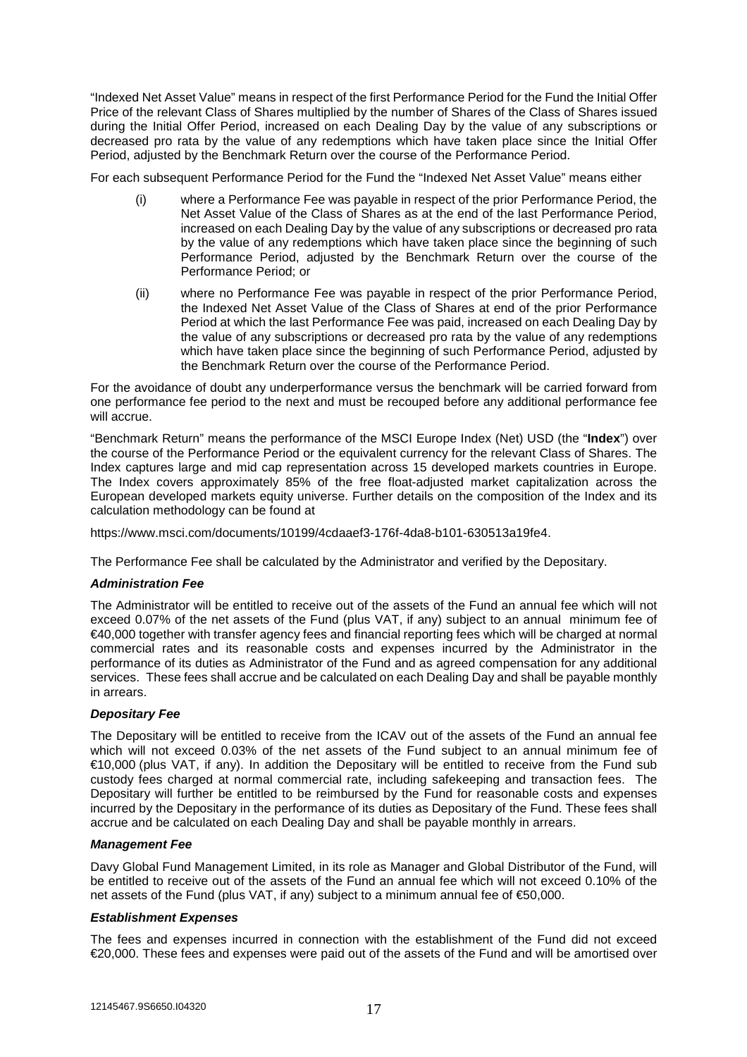"Indexed Net Asset Value" means in respect of the first Performance Period for the Fund the Initial Offer Price of the relevant Class of Shares multiplied by the number of Shares of the Class of Shares issued during the Initial Offer Period, increased on each Dealing Day by the value of any subscriptions or decreased pro rata by the value of any redemptions which have taken place since the Initial Offer Period, adjusted by the Benchmark Return over the course of the Performance Period.

For each subsequent Performance Period for the Fund the "Indexed Net Asset Value" means either

- (i) where a Performance Fee was payable in respect of the prior Performance Period, the Net Asset Value of the Class of Shares as at the end of the last Performance Period, increased on each Dealing Day by the value of any subscriptions or decreased pro rata by the value of any redemptions which have taken place since the beginning of such Performance Period, adjusted by the Benchmark Return over the course of the Performance Period; or
- (ii) where no Performance Fee was payable in respect of the prior Performance Period, the Indexed Net Asset Value of the Class of Shares at end of the prior Performance Period at which the last Performance Fee was paid, increased on each Dealing Day by the value of any subscriptions or decreased pro rata by the value of any redemptions which have taken place since the beginning of such Performance Period, adjusted by the Benchmark Return over the course of the Performance Period.

For the avoidance of doubt any underperformance versus the benchmark will be carried forward from one performance fee period to the next and must be recouped before any additional performance fee will accrue.

"Benchmark Return" means the performance of the MSCI Europe Index (Net) USD (the "**Index**") over the course of the Performance Period or the equivalent currency for the relevant Class of Shares. The Index captures large and mid cap representation across 15 developed markets countries in Europe. The Index covers approximately 85% of the free float-adjusted market capitalization across the European developed markets equity universe. Further details on the composition of the Index and its calculation methodology can be found at

https://www.msci.com/documents/10199/4cdaaef3-176f-4da8-b101-630513a19fe4.

The Performance Fee shall be calculated by the Administrator and verified by the Depositary.

## *Administration Fee*

The Administrator will be entitled to receive out of the assets of the Fund an annual fee which will not exceed 0.07% of the net assets of the Fund (plus VAT, if any) subject to an annual minimum fee of €40,000 together with transfer agency fees and financial reporting fees which will be charged at normal commercial rates and its reasonable costs and expenses incurred by the Administrator in the performance of its duties as Administrator of the Fund and as agreed compensation for any additional services. These fees shall accrue and be calculated on each Dealing Day and shall be payable monthly in arrears.

# *Depositary Fee*

The Depositary will be entitled to receive from the ICAV out of the assets of the Fund an annual fee which will not exceed 0.03% of the net assets of the Fund subject to an annual minimum fee of €10,000 (plus VAT, if any). In addition the Depositary will be entitled to receive from the Fund sub custody fees charged at normal commercial rate, including safekeeping and transaction fees. The Depositary will further be entitled to be reimbursed by the Fund for reasonable costs and expenses incurred by the Depositary in the performance of its duties as Depositary of the Fund. These fees shall accrue and be calculated on each Dealing Day and shall be payable monthly in arrears.

## *Management Fee*

Davy Global Fund Management Limited, in its role as Manager and Global Distributor of the Fund, will be entitled to receive out of the assets of the Fund an annual fee which will not exceed 0.10% of the net assets of the Fund (plus VAT, if any) subject to a minimum annual fee of €50,000.

## *Establishment Expenses*

The fees and expenses incurred in connection with the establishment of the Fund did not exceed €20,000. These fees and expenses were paid out of the assets of the Fund and will be amortised over